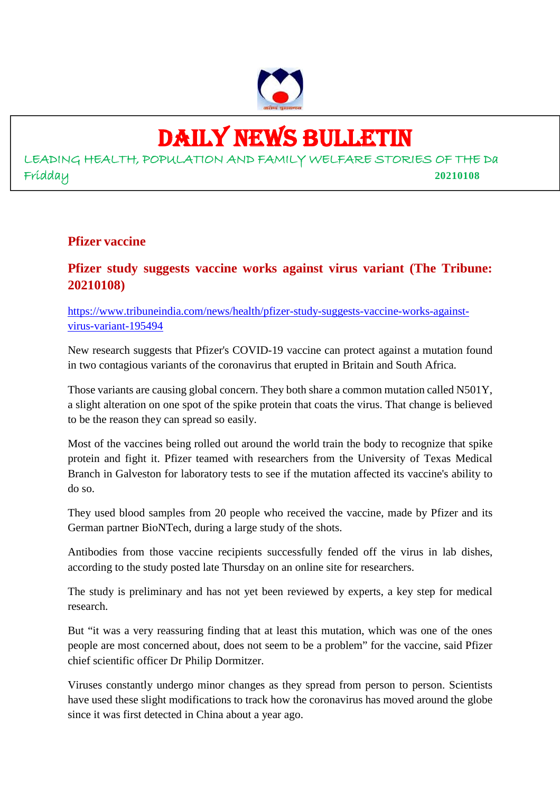

# DAILY NEWS BULLETIN

LEADING HEALTH, POPULATION AND FAMILY WELFARE STORIES OF THE Da Fridday **20210108**

#### **Pfizer vaccine**

#### **Pfizer study suggests vaccine works against virus variant (The Tribune: 20210108)**

https://www.tribuneindia.com/news/health/pfizer-study-suggests-vaccine-works-againstvirus-variant-195494

New research suggests that Pfizer's COVID-19 vaccine can protect against a mutation found in two contagious variants of the coronavirus that erupted in Britain and South Africa.

Those variants are causing global concern. They both share a common mutation called N501Y, a slight alteration on one spot of the spike protein that coats the virus. That change is believed to be the reason they can spread so easily.

Most of the vaccines being rolled out around the world train the body to recognize that spike protein and fight it. Pfizer teamed with researchers from the University of Texas Medical Branch in Galveston for laboratory tests to see if the mutation affected its vaccine's ability to do so.

They used blood samples from 20 people who received the vaccine, made by Pfizer and its German partner BioNTech, during a large study of the shots.

Antibodies from those vaccine recipients successfully fended off the virus in lab dishes, according to the study posted late Thursday on an online site for researchers.

The study is preliminary and has not yet been reviewed by experts, a key step for medical research.

But "it was a very reassuring finding that at least this mutation, which was one of the ones people are most concerned about, does not seem to be a problem" for the vaccine, said Pfizer chief scientific officer Dr Philip Dormitzer.

Viruses constantly undergo minor changes as they spread from person to person. Scientists have used these slight modifications to track how the coronavirus has moved around the globe since it was first detected in China about a year ago.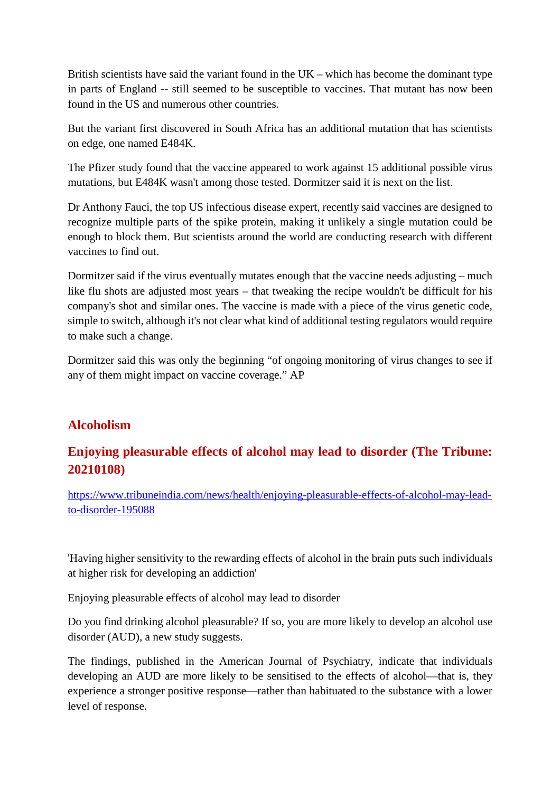British scientists have said the variant found in the UK – which has become the dominant type in parts of England -- still seemed to be susceptible to vaccines. That mutant has now been found in the US and numerous other countries.

But the variant first discovered in South Africa has an additional mutation that has scientists on edge, one named E484K.

The Pfizer study found that the vaccine appeared to work against 15 additional possible virus mutations, but E484K wasn't among those tested. Dormitzer said it is next on the list.

Dr Anthony Fauci, the top US infectious disease expert, recently said vaccines are designed to recognize multiple parts of the spike protein, making it unlikely a single mutation could be enough to block them. But scientists around the world are conducting research with different vaccines to find out.

Dormitzer said if the virus eventually mutates enough that the vaccine needs adjusting – much like flu shots are adjusted most years – that tweaking the recipe wouldn't be difficult for his company's shot and similar ones. The vaccine is made with a piece of the virus genetic code, simple to switch, although it's not clear what kind of additional testing regulators would require to make such a change.

Dormitzer said this was only the beginning "of ongoing monitoring of virus changes to see if any of them might impact on vaccine coverage." AP

#### **Alcoholism**

#### **Enjoying pleasurable effects of alcohol may lead to disorder (The Tribune: 20210108)**

https://www.tribuneindia.com/news/health/enjoying-pleasurable-effects-of-alcohol-may-leadto-disorder-195088

'Having higher sensitivity to the rewarding effects of alcohol in the brain puts such individuals at higher risk for developing an addiction'

Enjoying pleasurable effects of alcohol may lead to disorder

Do you find drinking alcohol pleasurable? If so, you are more likely to develop an alcohol use disorder (AUD), a new study suggests.

The findings, published in the American Journal of Psychiatry, indicate that individuals developing an AUD are more likely to be sensitised to the effects of alcohol—that is, they experience a stronger positive response—rather than habituated to the substance with a lower level of response.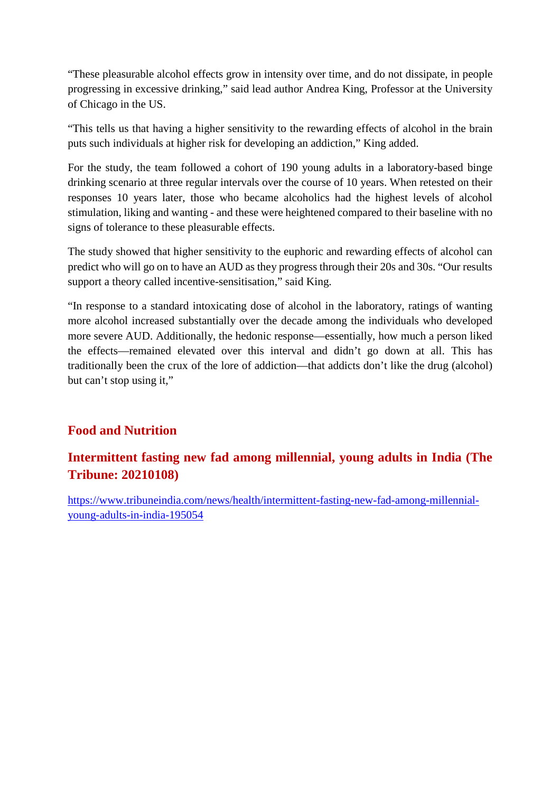"These pleasurable alcohol effects grow in intensity over time, and do not dissipate, in people progressing in excessive drinking," said lead author Andrea King, Professor at the University of Chicago in the US.

"This tells us that having a higher sensitivity to the rewarding effects of alcohol in the brain puts such individuals at higher risk for developing an addiction," King added.

For the study, the team followed a cohort of 190 young adults in a laboratory-based binge drinking scenario at three regular intervals over the course of 10 years. When retested on their responses 10 years later, those who became alcoholics had the highest levels of alcohol stimulation, liking and wanting - and these were heightened compared to their baseline with no signs of tolerance to these pleasurable effects.

The study showed that higher sensitivity to the euphoric and rewarding effects of alcohol can predict who will go on to have an AUD as they progress through their 20s and 30s. "Our results support a theory called incentive-sensitisation," said King.

"In response to a standard intoxicating dose of alcohol in the laboratory, ratings of wanting more alcohol increased substantially over the decade among the individuals who developed more severe AUD. Additionally, the hedonic response—essentially, how much a person liked the effects—remained elevated over this interval and didn't go down at all. This has traditionally been the crux of the lore of addiction—that addicts don't like the drug (alcohol) but can't stop using it,"

#### **Food and Nutrition**

#### **Intermittent fasting new fad among millennial, young adults in India (The Tribune: 20210108)**

https://www.tribuneindia.com/news/health/intermittent-fasting-new-fad-among-millennialyoung-adults-in-india-195054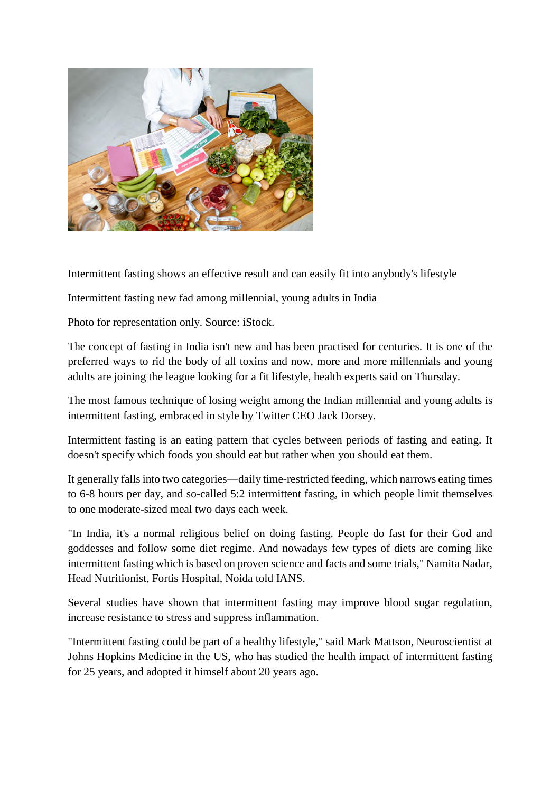

Intermittent fasting shows an effective result and can easily fit into anybody's lifestyle

Intermittent fasting new fad among millennial, young adults in India

Photo for representation only. Source: iStock.

The concept of fasting in India isn't new and has been practised for centuries. It is one of the preferred ways to rid the body of all toxins and now, more and more millennials and young adults are joining the league looking for a fit lifestyle, health experts said on Thursday.

The most famous technique of losing weight among the Indian millennial and young adults is intermittent fasting, embraced in style by Twitter CEO Jack Dorsey.

Intermittent fasting is an eating pattern that cycles between periods of fasting and eating. It doesn't specify which foods you should eat but rather when you should eat them.

It generally falls into two categories—daily time-restricted feeding, which narrows eating times to 6-8 hours per day, and so-called 5:2 intermittent fasting, in which people limit themselves to one moderate-sized meal two days each week.

"In India, it's a normal religious belief on doing fasting. People do fast for their God and goddesses and follow some diet regime. And nowadays few types of diets are coming like intermittent fasting which is based on proven science and facts and some trials," Namita Nadar, Head Nutritionist, Fortis Hospital, Noida told IANS.

Several studies have shown that intermittent fasting may improve blood sugar regulation, increase resistance to stress and suppress inflammation.

"Intermittent fasting could be part of a healthy lifestyle," said Mark Mattson, Neuroscientist at Johns Hopkins Medicine in the US, who has studied the health impact of intermittent fasting for 25 years, and adopted it himself about 20 years ago.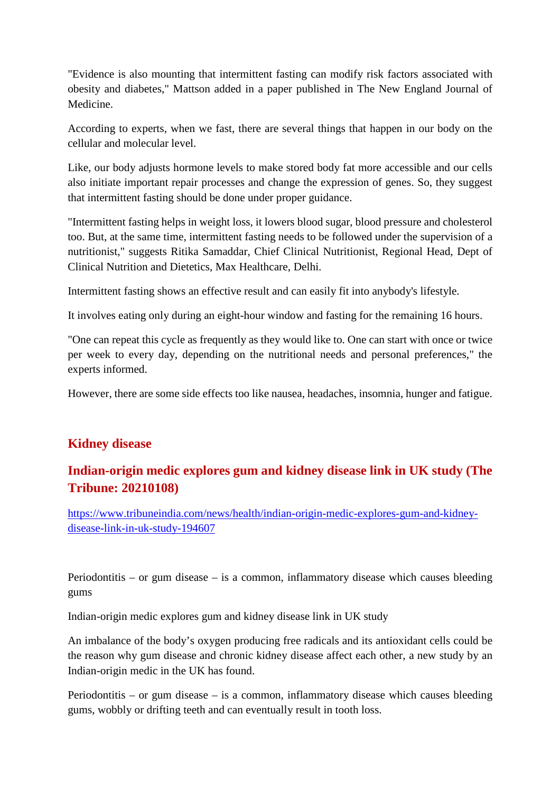"Evidence is also mounting that intermittent fasting can modify risk factors associated with obesity and diabetes," Mattson added in a paper published in The New England Journal of Medicine.

According to experts, when we fast, there are several things that happen in our body on the cellular and molecular level.

Like, our body adjusts hormone levels to make stored body fat more accessible and our cells also initiate important repair processes and change the expression of genes. So, they suggest that intermittent fasting should be done under proper guidance.

"Intermittent fasting helps in weight loss, it lowers blood sugar, blood pressure and cholesterol too. But, at the same time, intermittent fasting needs to be followed under the supervision of a nutritionist," suggests Ritika Samaddar, Chief Clinical Nutritionist, Regional Head, Dept of Clinical Nutrition and Dietetics, Max Healthcare, Delhi.

Intermittent fasting shows an effective result and can easily fit into anybody's lifestyle.

It involves eating only during an eight-hour window and fasting for the remaining 16 hours.

"One can repeat this cycle as frequently as they would like to. One can start with once or twice per week to every day, depending on the nutritional needs and personal preferences," the experts informed.

However, there are some side effects too like nausea, headaches, insomnia, hunger and fatigue.

#### **Kidney disease**

#### **Indian-origin medic explores gum and kidney disease link in UK study (The Tribune: 20210108)**

https://www.tribuneindia.com/news/health/indian-origin-medic-explores-gum-and-kidneydisease-link-in-uk-study-194607

Periodontitis – or gum disease – is a common, inflammatory disease which causes bleeding gums

Indian-origin medic explores gum and kidney disease link in UK study

An imbalance of the body's oxygen producing free radicals and its antioxidant cells could be the reason why gum disease and chronic kidney disease affect each other, a new study by an Indian-origin medic in the UK has found.

Periodontitis – or gum disease – is a common, inflammatory disease which causes bleeding gums, wobbly or drifting teeth and can eventually result in tooth loss.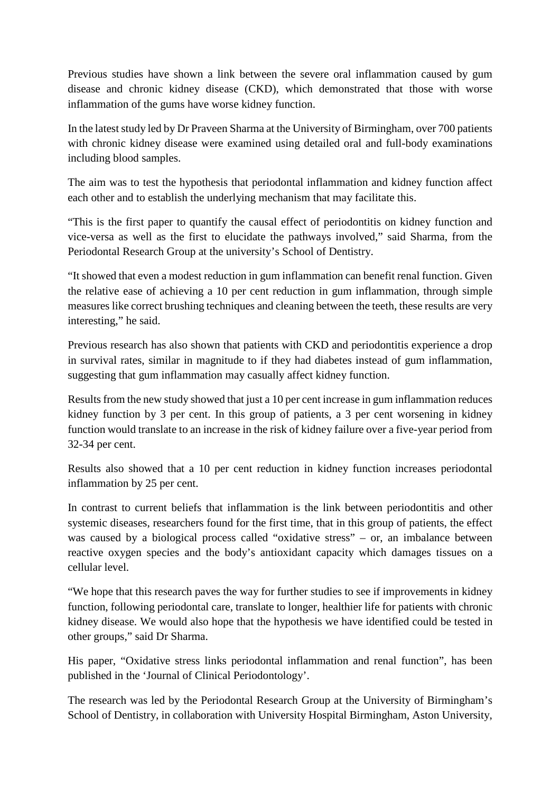Previous studies have shown a link between the severe oral inflammation caused by gum disease and chronic kidney disease (CKD), which demonstrated that those with worse inflammation of the gums have worse kidney function.

In the latest study led by Dr Praveen Sharma at the University of Birmingham, over 700 patients with chronic kidney disease were examined using detailed oral and full-body examinations including blood samples.

The aim was to test the hypothesis that periodontal inflammation and kidney function affect each other and to establish the underlying mechanism that may facilitate this.

"This is the first paper to quantify the causal effect of periodontitis on kidney function and vice-versa as well as the first to elucidate the pathways involved," said Sharma, from the Periodontal Research Group at the university's School of Dentistry.

"It showed that even a modest reduction in gum inflammation can benefit renal function. Given the relative ease of achieving a 10 per cent reduction in gum inflammation, through simple measures like correct brushing techniques and cleaning between the teeth, these results are very interesting," he said.

Previous research has also shown that patients with CKD and periodontitis experience a drop in survival rates, similar in magnitude to if they had diabetes instead of gum inflammation, suggesting that gum inflammation may casually affect kidney function.

Results from the new study showed that just a 10 per cent increase in gum inflammation reduces kidney function by 3 per cent. In this group of patients, a 3 per cent worsening in kidney function would translate to an increase in the risk of kidney failure over a five-year period from 32-34 per cent.

Results also showed that a 10 per cent reduction in kidney function increases periodontal inflammation by 25 per cent.

In contrast to current beliefs that inflammation is the link between periodontitis and other systemic diseases, researchers found for the first time, that in this group of patients, the effect was caused by a biological process called "oxidative stress" – or, an imbalance between reactive oxygen species and the body's antioxidant capacity which damages tissues on a cellular level.

"We hope that this research paves the way for further studies to see if improvements in kidney function, following periodontal care, translate to longer, healthier life for patients with chronic kidney disease. We would also hope that the hypothesis we have identified could be tested in other groups," said Dr Sharma.

His paper, "Oxidative stress links periodontal inflammation and renal function", has been published in the 'Journal of Clinical Periodontology'.

The research was led by the Periodontal Research Group at the University of Birmingham's School of Dentistry, in collaboration with University Hospital Birmingham, Aston University,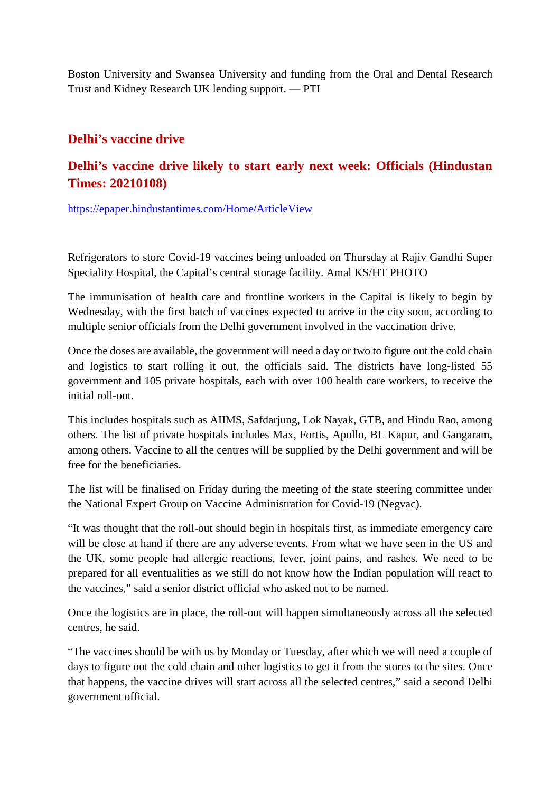Boston University and Swansea University and funding from the Oral and Dental Research Trust and Kidney Research UK lending support. — PTI

#### **Delhi's vaccine drive**

#### **Delhi's vaccine drive likely to start early next week: Officials (Hindustan Times: 20210108)**

https://epaper.hindustantimes.com/Home/ArticleView

Refrigerators to store Covid-19 vaccines being unloaded on Thursday at Rajiv Gandhi Super Speciality Hospital, the Capital's central storage facility. Amal KS/HT PHOTO

The immunisation of health care and frontline workers in the Capital is likely to begin by Wednesday, with the first batch of vaccines expected to arrive in the city soon, according to multiple senior officials from the Delhi government involved in the vaccination drive.

Once the doses are available, the government will need a day or two to figure out the cold chain and logistics to start rolling it out, the officials said. The districts have long-listed 55 government and 105 private hospitals, each with over 100 health care workers, to receive the initial roll-out.

This includes hospitals such as AIIMS, Safdarjung, Lok Nayak, GTB, and Hindu Rao, among others. The list of private hospitals includes Max, Fortis, Apollo, BL Kapur, and Gangaram, among others. Vaccine to all the centres will be supplied by the Delhi government and will be free for the beneficiaries.

The list will be finalised on Friday during the meeting of the state steering committee under the National Expert Group on Vaccine Administration for Covid-19 (Negvac).

"It was thought that the roll-out should begin in hospitals first, as immediate emergency care will be close at hand if there are any adverse events. From what we have seen in the US and the UK, some people had allergic reactions, fever, joint pains, and rashes. We need to be prepared for all eventualities as we still do not know how the Indian population will react to the vaccines," said a senior district official who asked not to be named.

Once the logistics are in place, the roll-out will happen simultaneously across all the selected centres, he said.

"The vaccines should be with us by Monday or Tuesday, after which we will need a couple of days to figure out the cold chain and other logistics to get it from the stores to the sites. Once that happens, the vaccine drives will start across all the selected centres," said a second Delhi government official.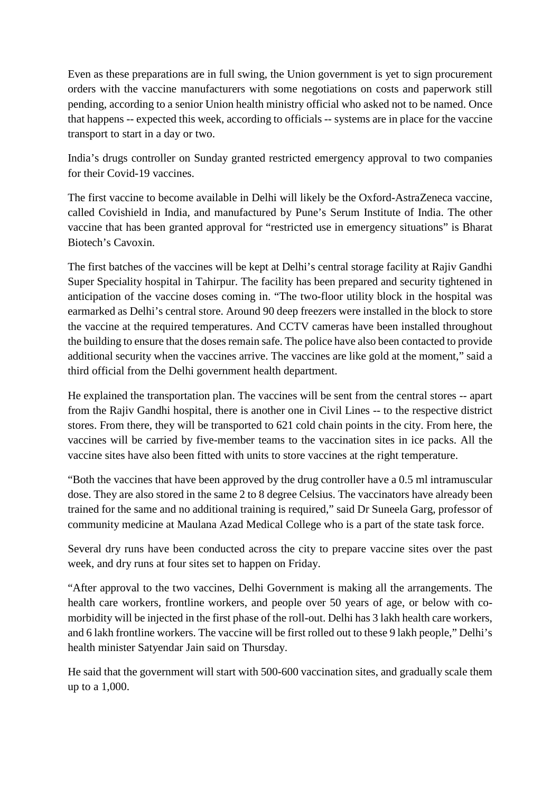Even as these preparations are in full swing, the Union government is yet to sign procurement orders with the vaccine manufacturers with some negotiations on costs and paperwork still pending, according to a senior Union health ministry official who asked not to be named. Once that happens -- expected this week, according to officials -- systems are in place for the vaccine transport to start in a day or two.

India's drugs controller on Sunday granted restricted emergency approval to two companies for their Covid-19 vaccines.

The first vaccine to become available in Delhi will likely be the Oxford-AstraZeneca vaccine, called Covishield in India, and manufactured by Pune's Serum Institute of India. The other vaccine that has been granted approval for "restricted use in emergency situations" is Bharat Biotech's Cavoxin.

The first batches of the vaccines will be kept at Delhi's central storage facility at Rajiv Gandhi Super Speciality hospital in Tahirpur. The facility has been prepared and security tightened in anticipation of the vaccine doses coming in. "The two-floor utility block in the hospital was earmarked as Delhi's central store. Around 90 deep freezers were installed in the block to store the vaccine at the required temperatures. And CCTV cameras have been installed throughout the building to ensure that the doses remain safe. The police have also been contacted to provide additional security when the vaccines arrive. The vaccines are like gold at the moment," said a third official from the Delhi government health department.

He explained the transportation plan. The vaccines will be sent from the central stores -- apart from the Rajiv Gandhi hospital, there is another one in Civil Lines -- to the respective district stores. From there, they will be transported to 621 cold chain points in the city. From here, the vaccines will be carried by five-member teams to the vaccination sites in ice packs. All the vaccine sites have also been fitted with units to store vaccines at the right temperature.

"Both the vaccines that have been approved by the drug controller have a 0.5 ml intramuscular dose. They are also stored in the same 2 to 8 degree Celsius. The vaccinators have already been trained for the same and no additional training is required," said Dr Suneela Garg, professor of community medicine at Maulana Azad Medical College who is a part of the state task force.

Several dry runs have been conducted across the city to prepare vaccine sites over the past week, and dry runs at four sites set to happen on Friday.

"After approval to the two vaccines, Delhi Government is making all the arrangements. The health care workers, frontline workers, and people over 50 years of age, or below with comorbidity will be injected in the first phase of the roll-out. Delhi has 3 lakh health care workers, and 6 lakh frontline workers. The vaccine will be first rolled out to these 9 lakh people," Delhi's health minister Satyendar Jain said on Thursday.

He said that the government will start with 500-600 vaccination sites, and gradually scale them up to a 1,000.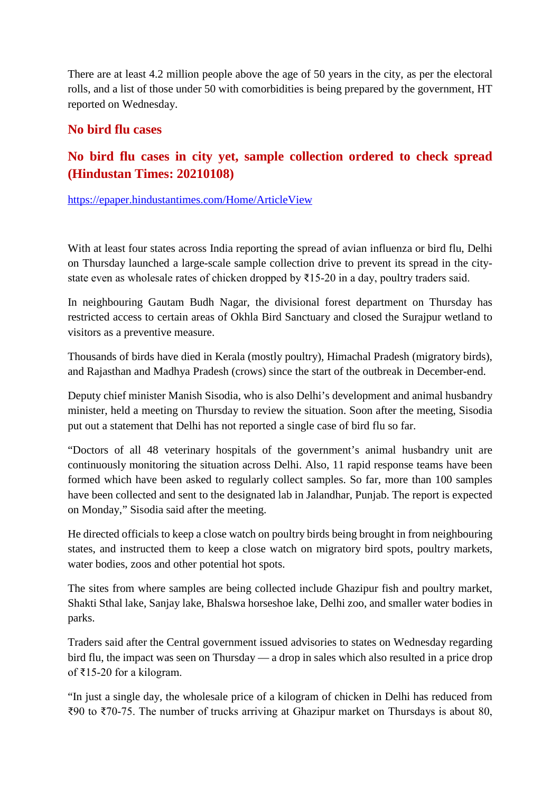There are at least 4.2 million people above the age of 50 years in the city, as per the electoral rolls, and a list of those under 50 with comorbidities is being prepared by the government, HT reported on Wednesday.

#### **No bird flu cases**

#### **No bird flu cases in city yet, sample collection ordered to check spread (Hindustan Times: 20210108)**

https://epaper.hindustantimes.com/Home/ArticleView

With at least four states across India reporting the spread of avian influenza or bird flu, Delhi on Thursday launched a large-scale sample collection drive to prevent its spread in the citystate even as wholesale rates of chicken dropped by ₹15-20 in a day, poultry traders said.

In neighbouring Gautam Budh Nagar, the divisional forest department on Thursday has restricted access to certain areas of Okhla Bird Sanctuary and closed the Surajpur wetland to visitors as a preventive measure.

Thousands of birds have died in Kerala (mostly poultry), Himachal Pradesh (migratory birds), and Rajasthan and Madhya Pradesh (crows) since the start of the outbreak in December-end.

Deputy chief minister Manish Sisodia, who is also Delhi's development and animal husbandry minister, held a meeting on Thursday to review the situation. Soon after the meeting, Sisodia put out a statement that Delhi has not reported a single case of bird flu so far.

"Doctors of all 48 veterinary hospitals of the government's animal husbandry unit are continuously monitoring the situation across Delhi. Also, 11 rapid response teams have been formed which have been asked to regularly collect samples. So far, more than 100 samples have been collected and sent to the designated lab in Jalandhar, Punjab. The report is expected on Monday," Sisodia said after the meeting.

He directed officials to keep a close watch on poultry birds being brought in from neighbouring states, and instructed them to keep a close watch on migratory bird spots, poultry markets, water bodies, zoos and other potential hot spots.

The sites from where samples are being collected include Ghazipur fish and poultry market, Shakti Sthal lake, Sanjay lake, Bhalswa horseshoe lake, Delhi zoo, and smaller water bodies in parks.

Traders said after the Central government issued advisories to states on Wednesday regarding bird flu, the impact was seen on Thursday — a drop in sales which also resulted in a price drop of ₹15-20 for a kilogram.

"In just a single day, the wholesale price of a kilogram of chicken in Delhi has reduced from ₹90 to ₹70-75. The number of trucks arriving at Ghazipur market on Thursdays is about 80,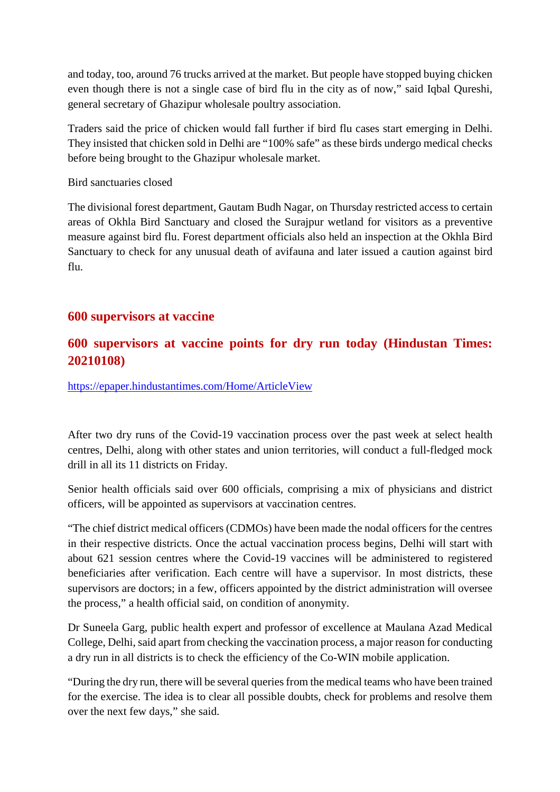and today, too, around 76 trucks arrived at the market. But people have stopped buying chicken even though there is not a single case of bird flu in the city as of now," said Iqbal Qureshi, general secretary of Ghazipur wholesale poultry association.

Traders said the price of chicken would fall further if bird flu cases start emerging in Delhi. They insisted that chicken sold in Delhi are "100% safe" as these birds undergo medical checks before being brought to the Ghazipur wholesale market.

Bird sanctuaries closed

The divisional forest department, Gautam Budh Nagar, on Thursday restricted access to certain areas of Okhla Bird Sanctuary and closed the Surajpur wetland for visitors as a preventive measure against bird flu. Forest department officials also held an inspection at the Okhla Bird Sanctuary to check for any unusual death of avifauna and later issued a caution against bird flu.

#### **600 supervisors at vaccine**

#### **600 supervisors at vaccine points for dry run today (Hindustan Times: 20210108)**

https://epaper.hindustantimes.com/Home/ArticleView

After two dry runs of the Covid-19 vaccination process over the past week at select health centres, Delhi, along with other states and union territories, will conduct a full-fledged mock drill in all its 11 districts on Friday.

Senior health officials said over 600 officials, comprising a mix of physicians and district officers, will be appointed as supervisors at vaccination centres.

"The chief district medical officers (CDMOs) have been made the nodal officers for the centres in their respective districts. Once the actual vaccination process begins, Delhi will start with about 621 session centres where the Covid-19 vaccines will be administered to registered beneficiaries after verification. Each centre will have a supervisor. In most districts, these supervisors are doctors; in a few, officers appointed by the district administration will oversee the process," a health official said, on condition of anonymity.

Dr Suneela Garg, public health expert and professor of excellence at Maulana Azad Medical College, Delhi, said apart from checking the vaccination process, a major reason for conducting a dry run in all districts is to check the efficiency of the Co-WIN mobile application.

"During the dry run, there will be several queries from the medical teams who have been trained for the exercise. The idea is to clear all possible doubts, check for problems and resolve them over the next few days," she said.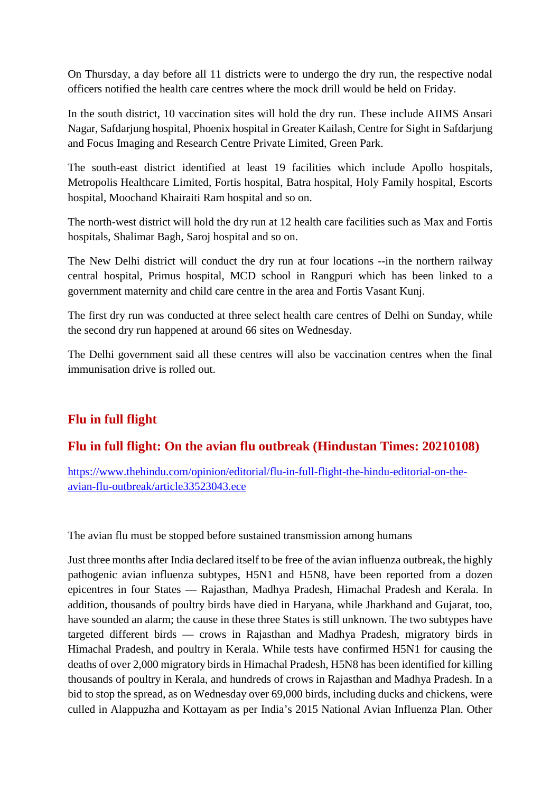On Thursday, a day before all 11 districts were to undergo the dry run, the respective nodal officers notified the health care centres where the mock drill would be held on Friday.

In the south district, 10 vaccination sites will hold the dry run. These include AIIMS Ansari Nagar, Safdarjung hospital, Phoenix hospital in Greater Kailash, Centre for Sight in Safdarjung and Focus Imaging and Research Centre Private Limited, Green Park.

The south-east district identified at least 19 facilities which include Apollo hospitals, Metropolis Healthcare Limited, Fortis hospital, Batra hospital, Holy Family hospital, Escorts hospital, Moochand Khairaiti Ram hospital and so on.

The north-west district will hold the dry run at 12 health care facilities such as Max and Fortis hospitals, Shalimar Bagh, Saroj hospital and so on.

The New Delhi district will conduct the dry run at four locations --in the northern railway central hospital, Primus hospital, MCD school in Rangpuri which has been linked to a government maternity and child care centre in the area and Fortis Vasant Kunj.

The first dry run was conducted at three select health care centres of Delhi on Sunday, while the second dry run happened at around 66 sites on Wednesday.

The Delhi government said all these centres will also be vaccination centres when the final immunisation drive is rolled out.

#### **Flu in full flight**

#### **Flu in full flight: On the avian flu outbreak (Hindustan Times: 20210108)**

https://www.thehindu.com/opinion/editorial/flu-in-full-flight-the-hindu-editorial-on-theavian-flu-outbreak/article33523043.ece

The avian flu must be stopped before sustained transmission among humans

Just three months after India declared itself to be free of the avian influenza outbreak, the highly pathogenic avian influenza subtypes, H5N1 and H5N8, have been reported from a dozen epicentres in four States — Rajasthan, Madhya Pradesh, Himachal Pradesh and Kerala. In addition, thousands of poultry birds have died in Haryana, while Jharkhand and Gujarat, too, have sounded an alarm; the cause in these three States is still unknown. The two subtypes have targeted different birds — crows in Rajasthan and Madhya Pradesh, migratory birds in Himachal Pradesh, and poultry in Kerala. While tests have confirmed H5N1 for causing the deaths of over 2,000 migratory birds in Himachal Pradesh, H5N8 has been identified for killing thousands of poultry in Kerala, and hundreds of crows in Rajasthan and Madhya Pradesh. In a bid to stop the spread, as on Wednesday over 69,000 birds, including ducks and chickens, were culled in Alappuzha and Kottayam as per India's 2015 National Avian Influenza Plan. Other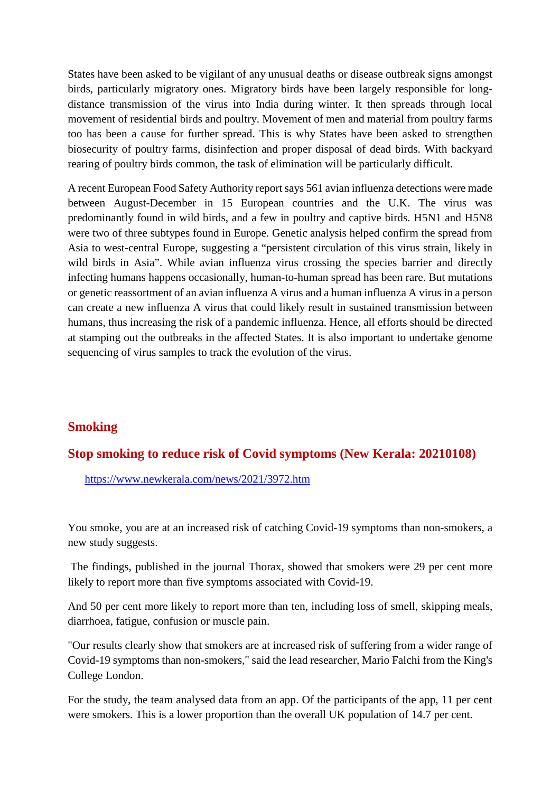States have been asked to be vigilant of any unusual deaths or disease outbreak signs amongst birds, particularly migratory ones. Migratory birds have been largely responsible for longdistance transmission of the virus into India during winter. It then spreads through local movement of residential birds and poultry. Movement of men and material from poultry farms too has been a cause for further spread. This is why States have been asked to strengthen biosecurity of poultry farms, disinfection and proper disposal of dead birds. With backyard rearing of poultry birds common, the task of elimination will be particularly difficult.

A recent European Food Safety Authority report says 561 avian influenza detections were made between August-December in 15 European countries and the U.K. The virus was predominantly found in wild birds, and a few in poultry and captive birds. H5N1 and H5N8 were two of three subtypes found in Europe. Genetic analysis helped confirm the spread from Asia to west-central Europe, suggesting a "persistent circulation of this virus strain, likely in wild birds in Asia". While avian influenza virus crossing the species barrier and directly infecting humans happens occasionally, human-to-human spread has been rare. But mutations or genetic reassortment of an avian influenza A virus and a human influenza A virus in a person can create a new influenza A virus that could likely result in sustained transmission between humans, thus increasing the risk of a pandemic influenza. Hence, all efforts should be directed at stamping out the outbreaks in the affected States. It is also important to undertake genome sequencing of virus samples to track the evolution of the virus.

#### **Smoking**

#### **Stop smoking to reduce risk of Covid symptoms (New Kerala: 20210108)**

https://www.newkerala.com/news/2021/3972.htm

You smoke, you are at an increased risk of catching Covid-19 symptoms than non-smokers, a new study suggests.

The findings, published in the journal Thorax, showed that smokers were 29 per cent more likely to report more than five symptoms associated with Covid-19.

And 50 per cent more likely to report more than ten, including loss of smell, skipping meals, diarrhoea, fatigue, confusion or muscle pain.

"Our results clearly show that smokers are at increased risk of suffering from a wider range of Covid-19 symptoms than non-smokers," said the lead researcher, Mario Falchi from the King's College London.

For the study, the team analysed data from an app. Of the participants of the app, 11 per cent were smokers. This is a lower proportion than the overall UK population of 14.7 per cent.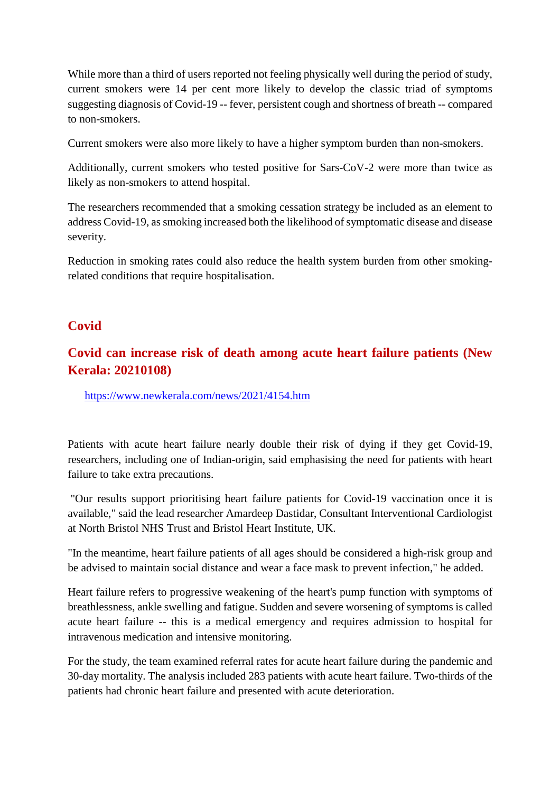While more than a third of users reported not feeling physically well during the period of study, current smokers were 14 per cent more likely to develop the classic triad of symptoms suggesting diagnosis of Covid-19 -- fever, persistent cough and shortness of breath -- compared to non-smokers.

Current smokers were also more likely to have a higher symptom burden than non-smokers.

Additionally, current smokers who tested positive for Sars-CoV-2 were more than twice as likely as non-smokers to attend hospital.

The researchers recommended that a smoking cessation strategy be included as an element to address Covid-19, as smoking increased both the likelihood of symptomatic disease and disease severity.

Reduction in smoking rates could also reduce the health system burden from other smokingrelated conditions that require hospitalisation.

#### **Covid**

#### **Covid can increase risk of death among acute heart failure patients (New Kerala: 20210108)**

https://www.newkerala.com/news/2021/4154.htm

Patients with acute heart failure nearly double their risk of dying if they get Covid-19, researchers, including one of Indian-origin, said emphasising the need for patients with heart failure to take extra precautions.

"Our results support prioritising heart failure patients for Covid-19 vaccination once it is available," said the lead researcher Amardeep Dastidar, Consultant Interventional Cardiologist at North Bristol NHS Trust and Bristol Heart Institute, UK.

"In the meantime, heart failure patients of all ages should be considered a high-risk group and be advised to maintain social distance and wear a face mask to prevent infection," he added.

Heart failure refers to progressive weakening of the heart's pump function with symptoms of breathlessness, ankle swelling and fatigue. Sudden and severe worsening of symptoms is called acute heart failure -- this is a medical emergency and requires admission to hospital for intravenous medication and intensive monitoring.

For the study, the team examined referral rates for acute heart failure during the pandemic and 30-day mortality. The analysis included 283 patients with acute heart failure. Two-thirds of the patients had chronic heart failure and presented with acute deterioration.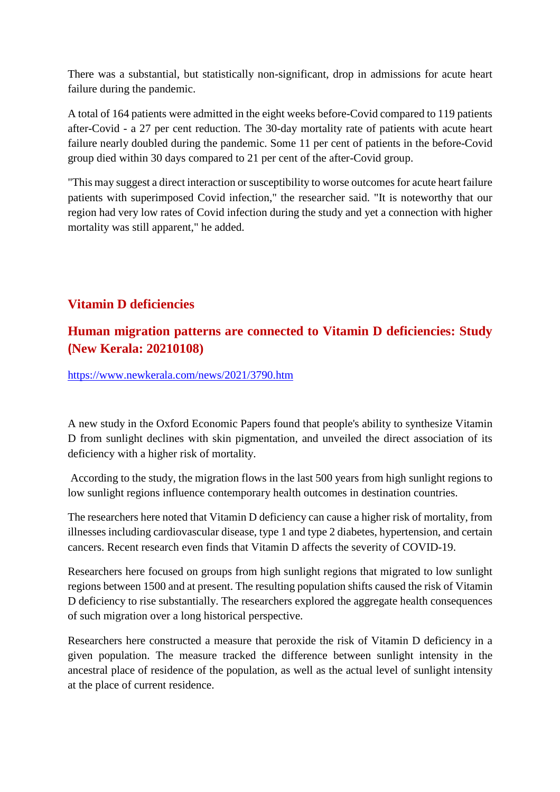There was a substantial, but statistically non-significant, drop in admissions for acute heart failure during the pandemic.

A total of 164 patients were admitted in the eight weeks before-Covid compared to 119 patients after-Covid - a 27 per cent reduction. The 30-day mortality rate of patients with acute heart failure nearly doubled during the pandemic. Some 11 per cent of patients in the before-Covid group died within 30 days compared to 21 per cent of the after-Covid group.

"This may suggest a direct interaction or susceptibility to worse outcomes for acute heart failure patients with superimposed Covid infection," the researcher said. "It is noteworthy that our region had very low rates of Covid infection during the study and yet a connection with higher mortality was still apparent," he added.

#### **Vitamin D deficiencies**

#### **Human migration patterns are connected to Vitamin D deficiencies: Study (New Kerala: 20210108)**

https://www.newkerala.com/news/2021/3790.htm

A new study in the Oxford Economic Papers found that people's ability to synthesize Vitamin D from sunlight declines with skin pigmentation, and unveiled the direct association of its deficiency with a higher risk of mortality.

According to the study, the migration flows in the last 500 years from high sunlight regions to low sunlight regions influence contemporary health outcomes in destination countries.

The researchers here noted that Vitamin D deficiency can cause a higher risk of mortality, from illnesses including cardiovascular disease, type 1 and type 2 diabetes, hypertension, and certain cancers. Recent research even finds that Vitamin D affects the severity of COVID-19.

Researchers here focused on groups from high sunlight regions that migrated to low sunlight regions between 1500 and at present. The resulting population shifts caused the risk of Vitamin D deficiency to rise substantially. The researchers explored the aggregate health consequences of such migration over a long historical perspective.

Researchers here constructed a measure that peroxide the risk of Vitamin D deficiency in a given population. The measure tracked the difference between sunlight intensity in the ancestral place of residence of the population, as well as the actual level of sunlight intensity at the place of current residence.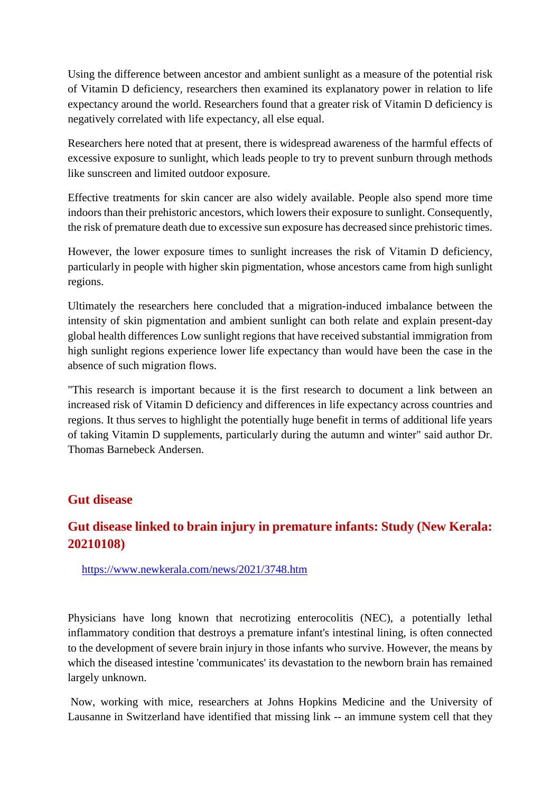Using the difference between ancestor and ambient sunlight as a measure of the potential risk of Vitamin D deficiency, researchers then examined its explanatory power in relation to life expectancy around the world. Researchers found that a greater risk of Vitamin D deficiency is negatively correlated with life expectancy, all else equal.

Researchers here noted that at present, there is widespread awareness of the harmful effects of excessive exposure to sunlight, which leads people to try to prevent sunburn through methods like sunscreen and limited outdoor exposure.

Effective treatments for skin cancer are also widely available. People also spend more time indoors than their prehistoric ancestors, which lowers their exposure to sunlight. Consequently, the risk of premature death due to excessive sun exposure has decreased since prehistoric times.

However, the lower exposure times to sunlight increases the risk of Vitamin D deficiency, particularly in people with higher skin pigmentation, whose ancestors came from high sunlight regions.

Ultimately the researchers here concluded that a migration-induced imbalance between the intensity of skin pigmentation and ambient sunlight can both relate and explain present-day global health differences Low sunlight regions that have received substantial immigration from high sunlight regions experience lower life expectancy than would have been the case in the absence of such migration flows.

"This research is important because it is the first research to document a link between an increased risk of Vitamin D deficiency and differences in life expectancy across countries and regions. It thus serves to highlight the potentially huge benefit in terms of additional life years of taking Vitamin D supplements, particularly during the autumn and winter" said author Dr. Thomas Barnebeck Andersen.

#### **Gut disease**

#### **Gut disease linked to brain injury in premature infants: Study (New Kerala: 20210108)**

https://www.newkerala.com/news/2021/3748.htm

Physicians have long known that necrotizing enterocolitis (NEC), a potentially lethal inflammatory condition that destroys a premature infant's intestinal lining, is often connected to the development of severe brain injury in those infants who survive. However, the means by which the diseased intestine 'communicates' its devastation to the newborn brain has remained largely unknown.

Now, working with mice, researchers at Johns Hopkins Medicine and the University of Lausanne in Switzerland have identified that missing link -- an immune system cell that they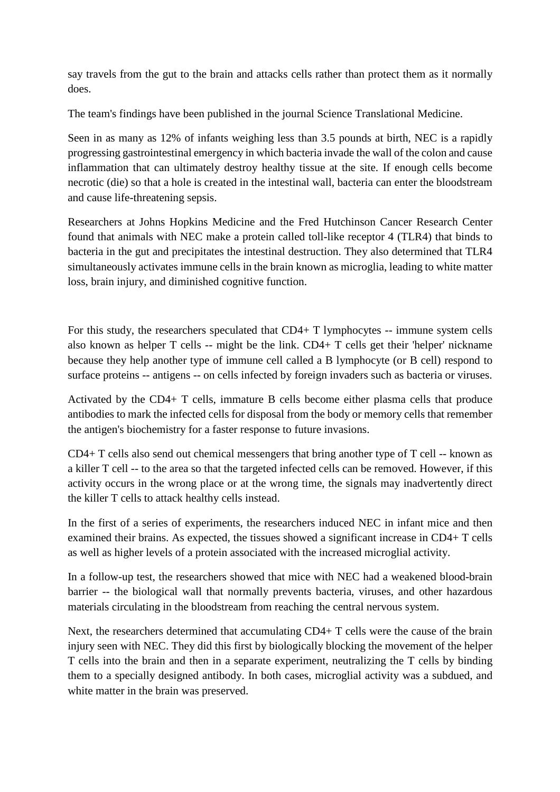say travels from the gut to the brain and attacks cells rather than protect them as it normally does.

The team's findings have been published in the journal Science Translational Medicine.

Seen in as many as 12% of infants weighing less than 3.5 pounds at birth, NEC is a rapidly progressing gastrointestinal emergency in which bacteria invade the wall of the colon and cause inflammation that can ultimately destroy healthy tissue at the site. If enough cells become necrotic (die) so that a hole is created in the intestinal wall, bacteria can enter the bloodstream and cause life-threatening sepsis.

Researchers at Johns Hopkins Medicine and the Fred Hutchinson Cancer Research Center found that animals with NEC make a protein called toll-like receptor 4 (TLR4) that binds to bacteria in the gut and precipitates the intestinal destruction. They also determined that TLR4 simultaneously activates immune cells in the brain known as microglia, leading to white matter loss, brain injury, and diminished cognitive function.

For this study, the researchers speculated that CD4+ T lymphocytes -- immune system cells also known as helper T cells -- might be the link. CD4+ T cells get their 'helper' nickname because they help another type of immune cell called a B lymphocyte (or B cell) respond to surface proteins -- antigens -- on cells infected by foreign invaders such as bacteria or viruses.

Activated by the CD4+ T cells, immature B cells become either plasma cells that produce antibodies to mark the infected cells for disposal from the body or memory cells that remember the antigen's biochemistry for a faster response to future invasions.

 $CD4+T$  cells also send out chemical messengers that bring another type of T cell  $-$  known as a killer T cell -- to the area so that the targeted infected cells can be removed. However, if this activity occurs in the wrong place or at the wrong time, the signals may inadvertently direct the killer T cells to attack healthy cells instead.

In the first of a series of experiments, the researchers induced NEC in infant mice and then examined their brains. As expected, the tissues showed a significant increase in CD4+ T cells as well as higher levels of a protein associated with the increased microglial activity.

In a follow-up test, the researchers showed that mice with NEC had a weakened blood-brain barrier -- the biological wall that normally prevents bacteria, viruses, and other hazardous materials circulating in the bloodstream from reaching the central nervous system.

Next, the researchers determined that accumulating CD4+ T cells were the cause of the brain injury seen with NEC. They did this first by biologically blocking the movement of the helper T cells into the brain and then in a separate experiment, neutralizing the T cells by binding them to a specially designed antibody. In both cases, microglial activity was a subdued, and white matter in the brain was preserved.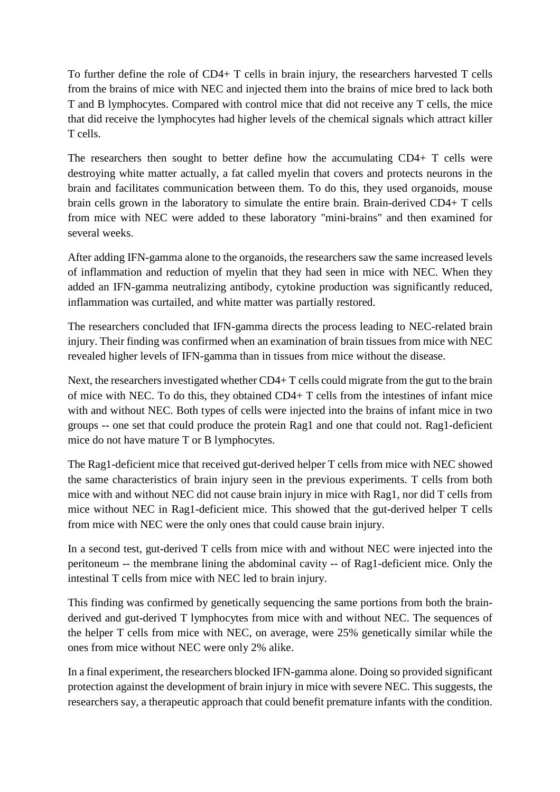To further define the role of CD4+ T cells in brain injury, the researchers harvested T cells from the brains of mice with NEC and injected them into the brains of mice bred to lack both T and B lymphocytes. Compared with control mice that did not receive any T cells, the mice that did receive the lymphocytes had higher levels of the chemical signals which attract killer T cells.

The researchers then sought to better define how the accumulating CD4+ T cells were destroying white matter actually, a fat called myelin that covers and protects neurons in the brain and facilitates communication between them. To do this, they used organoids, mouse brain cells grown in the laboratory to simulate the entire brain. Brain-derived CD4+ T cells from mice with NEC were added to these laboratory "mini-brains" and then examined for several weeks.

After adding IFN-gamma alone to the organoids, the researchers saw the same increased levels of inflammation and reduction of myelin that they had seen in mice with NEC. When they added an IFN-gamma neutralizing antibody, cytokine production was significantly reduced, inflammation was curtailed, and white matter was partially restored.

The researchers concluded that IFN-gamma directs the process leading to NEC-related brain injury. Their finding was confirmed when an examination of brain tissues from mice with NEC revealed higher levels of IFN-gamma than in tissues from mice without the disease.

Next, the researchers investigated whether CD4+ T cells could migrate from the gut to the brain of mice with NEC. To do this, they obtained CD4+ T cells from the intestines of infant mice with and without NEC. Both types of cells were injected into the brains of infant mice in two groups -- one set that could produce the protein Rag1 and one that could not. Rag1-deficient mice do not have mature T or B lymphocytes.

The Rag1-deficient mice that received gut-derived helper T cells from mice with NEC showed the same characteristics of brain injury seen in the previous experiments. T cells from both mice with and without NEC did not cause brain injury in mice with Rag1, nor did T cells from mice without NEC in Rag1-deficient mice. This showed that the gut-derived helper T cells from mice with NEC were the only ones that could cause brain injury.

In a second test, gut-derived T cells from mice with and without NEC were injected into the peritoneum -- the membrane lining the abdominal cavity -- of Rag1-deficient mice. Only the intestinal T cells from mice with NEC led to brain injury.

This finding was confirmed by genetically sequencing the same portions from both the brainderived and gut-derived T lymphocytes from mice with and without NEC. The sequences of the helper T cells from mice with NEC, on average, were 25% genetically similar while the ones from mice without NEC were only 2% alike.

In a final experiment, the researchers blocked IFN-gamma alone. Doing so provided significant protection against the development of brain injury in mice with severe NEC. This suggests, the researchers say, a therapeutic approach that could benefit premature infants with the condition.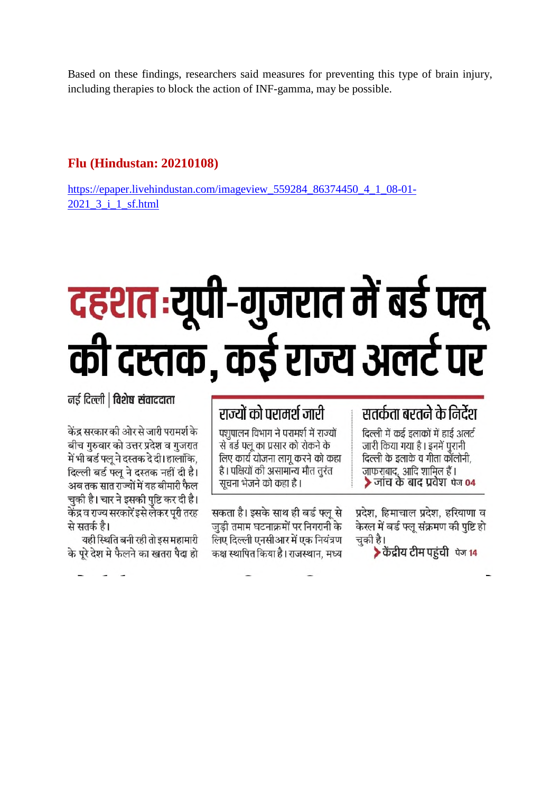Based on these findings, researchers said measures for preventing this type of brain injury, including therapies to block the action of INF-gamma, may be possible.

#### **Flu (Hindustan: 20210108)**

https://epaper.livehindustan.com/imageview\_559284\_86374450\_4\_1\_08-01-2021\_3\_i\_1\_sf.html

# दहशत:यूपी-गुजरात में बर्ड फ्लू की दस्तक, कई राज्य अलर्ट पर

नई दिल्ली | विशेष संवाददाता

केंद्र सरकार की ओर से जारी परामर्श के बीच गुरुवार को उत्तर प्रदेश व गुजरात में भी बर्ड फ्लू ने दस्तक दे दी। हालांकि, दिल्ली बर्ड फ्लू ने दस्तक नहीं दी है। अब तक सात राज्यों में यह बीमारी फैल चुकी है। चार ने इसकी पुष्टि कर दी है। केंद्र व राज्य सरकारें इसे लेकर पूरी तरह से सतर्क है।

यही स्थिति बनी रही तो इस महामारी के परे देश मे फैलने का खतरा पैदा हो

## राज्यों को परामर्श जारी

पशपालन विभाग ने परामर्श में राज्यों से बर्ड फ्लू का प्रसार को रोकने के लिए कार्य योजना लागू करने को कहा है। पक्षियों की असामान्य मौत तूरंत सूचना भेजने को कहा है।

सकता है। इसके साथ ही बर्ड फ्लू से जुड़ी तमाम घटनाक्रमों पर निगरानी के लिए दिल्ली एनसीआर में एक नियंत्रण कक्ष स्थापित किया है। राजस्थान, मध्य

### सतर्कता बरतने के निर्देश

दिल्ली में कई इलाकों में हाई अलर्ट जारी किया गया है। इनमें पुरानी दिल्ली के इलाके व गीता कॉलोनी, जाफराबाद, आदि शामिल हैं।  $\blacktriangleright$  जांच के बाद प्रवेश के 04

प्रदेश, हिमाचाल प्रदेश, हरियाणा व केरल में बर्ड फ्लू संक्रमण की पृष्टि हो चुकी है।

▶ केंद्रीय टीम पहुंची पेज 14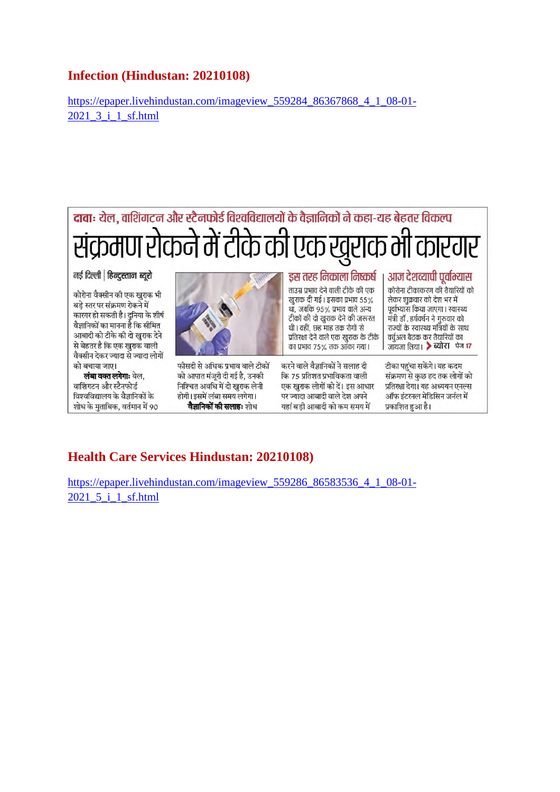#### **Infection (Hindustan: 20210108)**

https://epaper.livehindustan.com/imageview\_559284\_86367868\_4\_1\_08-01- 2021\_3\_i\_1\_sf.html

#### दावाः येल, वाशिंगटन और स्टैनफोर्ड विश्वविद्यालयों के वैज्ञानिकों ने कहा-यह बेहतर विकल्प संक्रमण रोकने में टीके की एक खुराक भी कारगर नई दिल्ली | हिन्दुस्तान ब्यूरो डस तरह निकाला निष्कर्ष आज देशव्यापी पूर्वाभ्यास

कोरोना वैक्सीन की एक खराक भी बडे स्तर पर संक्रमण रोकने में कारगर हो सकती है। दुनिया के शीर्ष वैज्ञानिकों का मानना है कि सीमित आबादी को टीके की दो खुराक देने से बेहतर है कि एक खराक वाली वैक्सीन देकर ज्यादा से ज्यादा लोगों को बचाया जाए।

लंबा वक्त लगेगाः येल. वाशिंगटन और स्टैनफोर्ड विश्वविद्यालय के वैज्ञानिकों के शोध के मुताबिक, वर्तमान में 90



फीसदी से अधिक प्रभाव वाले टीकों को आपात मंजुरी दी गई है, उनकी निश्चित अवधि में दो खराक लेनी होगी। इसमें लंबा समय लगेगा। वैज्ञानिकों की सलाहः शोध

ताउम्र प्रभाव देने वाली टीके की एक खुराक दी गई। इसका प्रभाव 55% था, जबकि ९५% प्रभाव वाले अन्य या, जबाक 50% बनाव बारा ठाऱ्या<br>टीकों की दो खुराक देने की जरूरत थी। वहीं, छह माह तक रोगों से प्रतिरक्षा देने वाले एक खुराक के टीके का प्रभाव 75% तक आंका गया।

करने वाले वैज्ञानिकों ने सलाह दी कि 75 प्रतिशत प्रभाविकता वाली एक खराक लोगों को दें। इस आधार पर ज्यादा आबादी वाले देश अपने यहां बडी आबादी को कम समय में

कोरोना टीकाकरण की तैयारियों को लेकर शुक्रवार को देश भर में पूर्वाभ्यास किया जाएगा। स्वास्थ्य मंत्री डॉ . हर्षवर्धन ने गुरुवार को राज्यों के स्वास्थ्य मंत्रियों के साथ वर्चअल बैठक कर तैयारियों का जायजा लिया। > ब्योरा पेज 17

टीका पहुंचा सकेंगे। यह कदम संक्रमण से कुछ हद तक लोगों को प्रतिरक्षा देगा। यह अध्ययन एनल्स ऑफ इंटरनल मेडिसिन जर्नल में प्रकाशित हुआ है।

#### **Health Care Services Hindustan: 20210108)**

https://epaper.livehindustan.com/imageview\_559286\_86583536\_4\_1\_08-01-2021\_5\_i\_1\_sf.html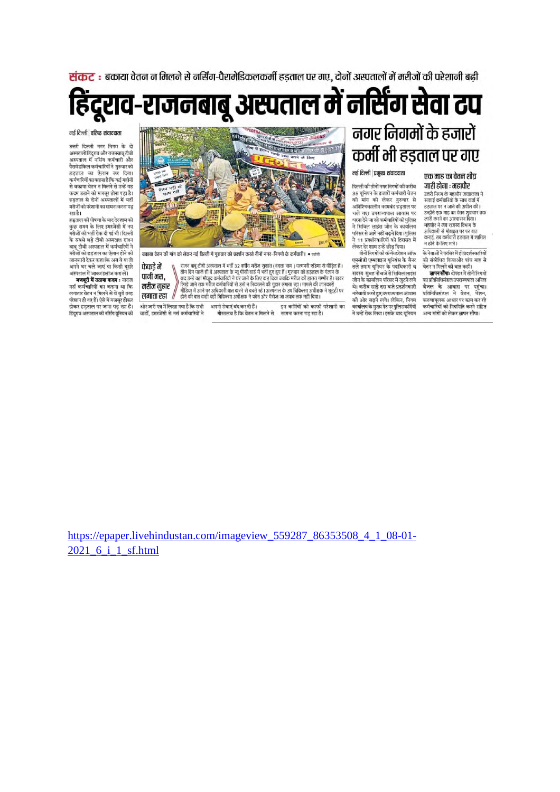संकट : बकाया वेतन न मिलने से नर्सिंग-पैरामेडिकलकर्मी हडताल पर गए. दोनों अस्पतालों में मरीजों की परेशानी बढी

हिंदूराव-राजनबाबू अस्पताल में नर्सिंग सेवा टप

#### नई दिल्ली | वरिष्ट संवाददाता

उत्तरी दिल्ली नगर निगम के दो उत्तर प्रदेशी कार्य मनन के प्रा<br>अस्पतालोहिंदूराव और राजनबाबू टीबी<br>अस्पताल में नर्सिंग कर्मचारी और पैरामेडकिल कर्मचारियों ने गुरुवार को ददवाल का प्रेलान कर दिया। ०००० - २००० - २००० - २०००<br>कर्मचारियों का कहना है कि कई महीनों से बकाया वेतन न मिलने से उन्हें यह कदम उठाने को मजबूर होना पड़ा है। हड़ताल से दोनों अस्पतालों में भर्ती मरीजों को परेशानी का सामना करना पड़ रहा है।

......<br>हड़ताल की घोषणा के बाद देरशाम को -<br>कुछ समय के लिए इमरजेंसी में नए<br>मरीजों को भर्ती रोक दी गई थी। दिल्ली के सबसे बड़े टीबी अस्पताल राजन<br>बाब टीबी अस्पताल में कर्मचारियों ने मरीजों को हड़ताल का ऐलान होने की जानकारी देकर कहा कि अब वे या तो अपने घर चले जाएं या किसी दूसरे अस्पताल में जाकर इलाज करा लें।

मजबूरी में उठाया कदम : नाराज नयं कर्मचारियों का कहना था कि नस फन पारिता का कहना था। क<br>लगातार वेतन न मिलने से वे बुरी तरह .<br>परेशान हो गए हैं। ऐसे में मजबूर होकर<br>होकर हड़ताल पर जाना पड़ रहा है। हिंदूराव अस्पताल की नर्सिंग युनियन की



.<br>बकाया वेतन की मांग को लेकर नई दिल्ली में गुरुवार को प्रदर्शन करते तीनों नगर–निगमों के कर्मचारी। • ब्लंबा

.<br>ओर जारी पत्र में लिखा गया है कि सभी

वार्डों. इमरजेंसी से नर्स कर्मचारियों ने

राजन बाबू टीबी अस्पताल में भर्ती 32 वर्षीय मरीज सुशांत (बदला नाम ) पत्मनरी एडिमा से पीड़ित है ।<br>तीन दिन पहले ही वे अस्पताल के न्यू पीसी वार्ड में भर्ती हुए हुए हैं । गुरुवार को हड़ताल के ऐलान के<br>| बाद उन्हें वहां मौजूद कर फेफडे में पानी भरा. मरीज गहार लगाता रहा //

अपनी सेवाएं बंद कर दी हैं। इन कमिंयों को काफी परेशानी का गौरतलब है कि वेतन न मिलने से सामना करना पड़ रहा है।

## नगर निगमों के हजारों कर्मी भी हड़ताल पर गए

नई दिल्ली | प्रमुख संवाददाता

दिल्ली की तीनों नगर निगमों की करीब की मांग को लेकर गुरुवार से अनिश्चिकालीन कामबंद हड़ताल पर चले गए। उपराज्यपाल आवास पर घरना देने जा रहे कर्मचारियों को पुलिस .<br>ने सिविल लाइंस जोन के कार्यालय<br>परिसर से आगे नहीं बढ़ने दिया।पुलिस ्<br>ने 11 प्रदर्शनकारियों को हिरासत में<br>लेकर देर शाम उन्हें छोड दिया।

.<br>तीनों निगमों की कॉन्फेडरेशन ऑफ ्तानान्तमा का काउल्ला आपः<br>एमसीडी एम्पलाइज युनियंस के बैनर २००७ २००.२०० कुम्मचा २०००<br>तले तमाम यूनियन के पदाधिकारी व<br>सदस्य सुबह नौबजे से सिविल लाइंस जोन के कार्यालय परिसर में जुटने लगे थे। करीब साटे टस बजे पटर्मनकारी थ। कराब साढ़ दस बज प्रदशनकारा<br>नारेबाती करते हुए उपराज्यपाल आवास<br>की और बढ़ने लगे। लेकिन, निगम कार्यालय के मुख्य गेट पर पुलिसकर्मियों ने उन्हें रोक लिया। इसके बाद यूनियन

#### एक माह का वेतन शीघ जारी होगा : महापौर

उत्तरी निगम के महाप्रीर जयप्रकाश ने उत्तराज्यान के नहींबार अक्षेत्रकार<br>सफाई कर्मचारियों के साथ वार्ता में<br>हड़ताल पर न जाने की अपील की। उन्होंने एक माह का वेतन शकवार तक जारी करने का आश्वासन दिया।<br>महापौर ने जब राजस्व विभाग के अधिकारी से मोबाइल पर पर बात जानकारी से नावाइस पर पर बात<br>कराई, तब कर्मचारी हड़ताल में शामिल<br>न होने के लिए माने ।

.<br>के नेताओं ने परसिर में ही प्रदर्शनकारियों को संबोधित कियाऔर पांच माह से चेतन न मिलने की बात कही।<br>-<br>**ज्ञापन सौंपाः** दोपहर में तीनों निगर्मो

का प्रतिनिधिमंडल उपराज्यपाल अनिल बैजल के आवास पर पहुंचा। प्रतिनिधिमंडल ने वेतन, पेंशन, करणामलक आधार पर काम कर रहे कर्मचारियों को नियमिति करने सहित अन्य मांगों को लेकर जापन सौंपा।

https://epaper.livehindustan.com/imageview\_559287\_86353508\_4\_1\_08-01-2021 6 i 1 sf.html